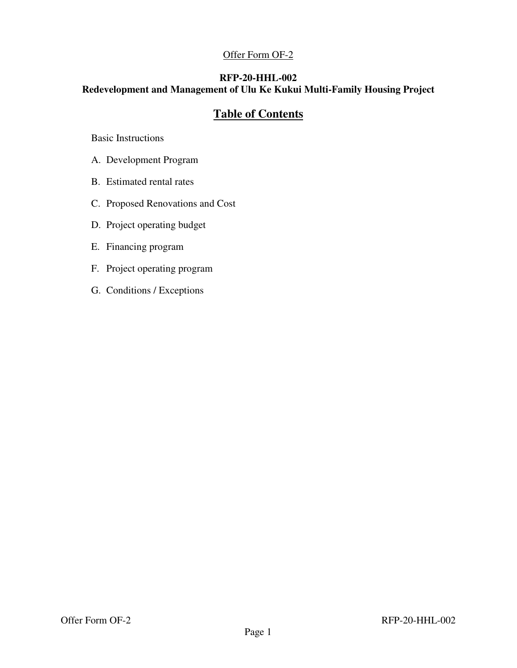## Offer Form OF-2

## **RFP-20-HHL-002**

# **Redevelopment and Management of Ulu Ke Kukui Multi-Family Housing Project**

# **Table of Contents**

Basic Instructions

- A. Development Program
- B. Estimated rental rates
- C. Proposed Renovations and Cost
- D. Project operating budget
- E. Financing program
- F. Project operating program
- G. Conditions / Exceptions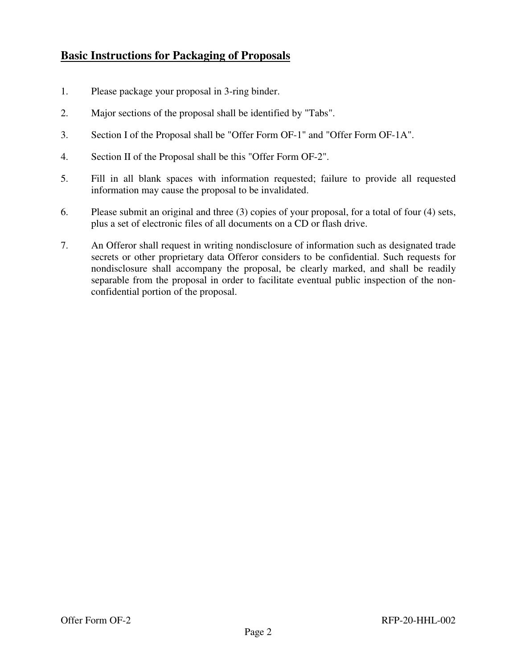# **Basic Instructions for Packaging of Proposals**

- 1. Please package your proposal in 3-ring binder.
- 2. Major sections of the proposal shall be identified by "Tabs".
- 3. Section I of the Proposal shall be "Offer Form OF-1" and "Offer Form OF-1A".
- 4. Section II of the Proposal shall be this "Offer Form OF-2".
- 5. Fill in all blank spaces with information requested; failure to provide all requested information may cause the proposal to be invalidated.
- 6. Please submit an original and three (3) copies of your proposal, for a total of four (4) sets, plus a set of electronic files of all documents on a CD or flash drive.
- 7. An Offeror shall request in writing nondisclosure of information such as designated trade secrets or other proprietary data Offeror considers to be confidential. Such requests for nondisclosure shall accompany the proposal, be clearly marked, and shall be readily separable from the proposal in order to facilitate eventual public inspection of the nonconfidential portion of the proposal.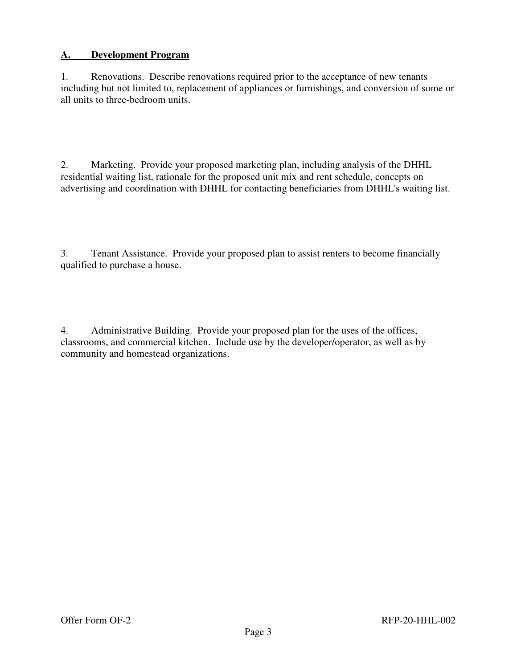#### **A. Development Program**

1. Renovations. Describe renovations required prior to the acceptance of new tenants including but not limited to, replacement of appliances or furnishings, and conversion of some or all units to three-bedroom units.

2. Marketing. Provide your proposed marketing plan, including analysis of the DHHL residential waiting list, rationale for the proposed unit mix and rent schedule, concepts on advertising and coordination with DHHL for contacting beneficiaries from DHHL's waiting list.

3. Tenant Assistance. Provide your proposed plan to assist renters to become financially qualified to purchase a house.

4. Administrative Building. Provide your proposed plan for the uses of the offices, classrooms, and commercial kitchen. Include use by the developer/operator, as well as by community and homestead organizations.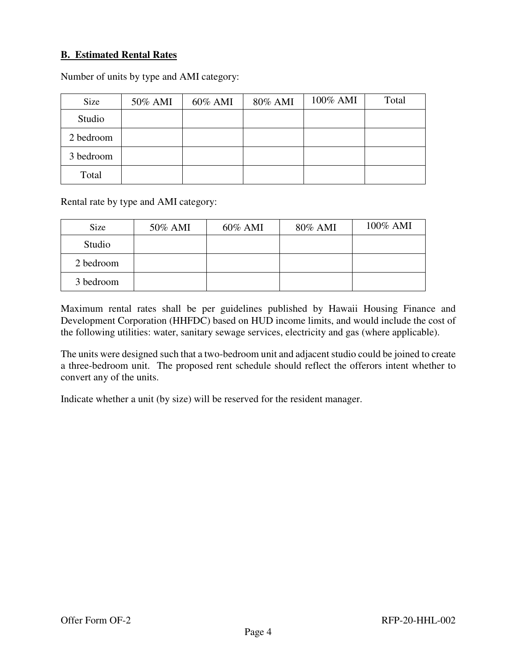#### **B. Estimated Rental Rates**

Number of units by type and AMI category:

| Size      | 50% AMI | 60% AMI | 80% AMI | 100% AMI | Total |
|-----------|---------|---------|---------|----------|-------|
| Studio    |         |         |         |          |       |
| 2 bedroom |         |         |         |          |       |
| 3 bedroom |         |         |         |          |       |
| Total     |         |         |         |          |       |

Rental rate by type and AMI category:

| Size      | 50% AMI | 60% AMI | 80% AMI | 100% AMI |
|-----------|---------|---------|---------|----------|
| Studio    |         |         |         |          |
| 2 bedroom |         |         |         |          |
| 3 bedroom |         |         |         |          |

Maximum rental rates shall be per guidelines published by Hawaii Housing Finance and Development Corporation (HHFDC) based on HUD income limits, and would include the cost of the following utilities: water, sanitary sewage services, electricity and gas (where applicable).

The units were designed such that a two-bedroom unit and adjacent studio could be joined to create a three-bedroom unit. The proposed rent schedule should reflect the offerors intent whether to convert any of the units.

Indicate whether a unit (by size) will be reserved for the resident manager.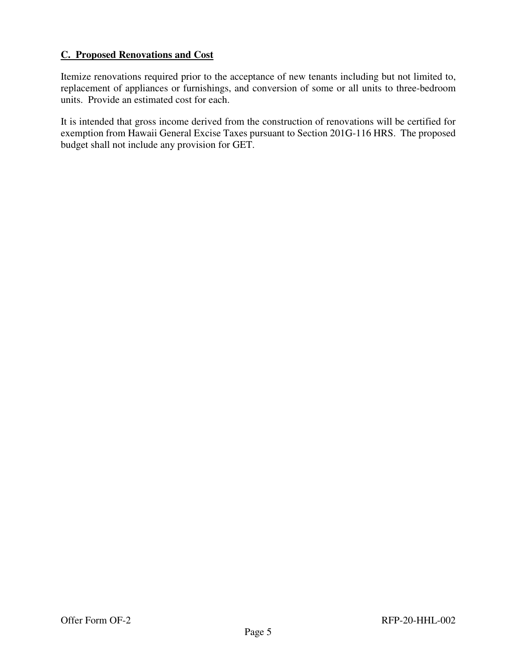## **C. Proposed Renovations and Cost**

Itemize renovations required prior to the acceptance of new tenants including but not limited to, replacement of appliances or furnishings, and conversion of some or all units to three-bedroom units. Provide an estimated cost for each.

It is intended that gross income derived from the construction of renovations will be certified for exemption from Hawaii General Excise Taxes pursuant to Section 201G-116 HRS. The proposed budget shall not include any provision for GET.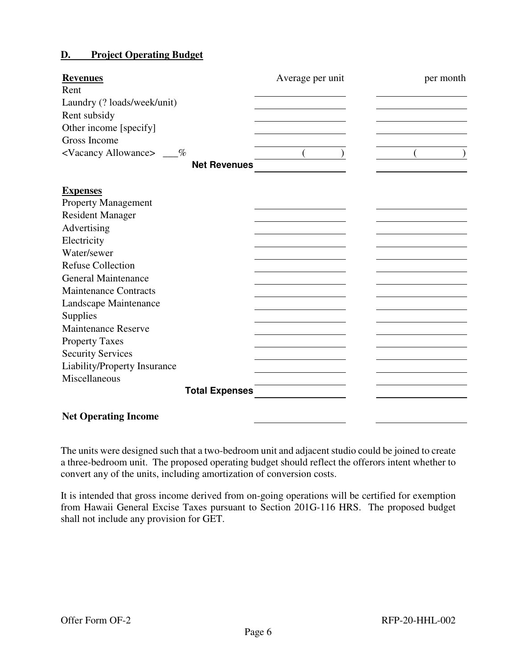#### **D. Project Operating Budget**

| <b>Revenues</b>                      | Average per unit | per month |
|--------------------------------------|------------------|-----------|
| Rent                                 |                  |           |
| Laundry (? loads/week/unit)          |                  |           |
| Rent subsidy                         |                  |           |
| Other income [specify]               |                  |           |
| Gross Income                         |                  |           |
| <vacancy allowance=""> __%</vacancy> |                  |           |
| <b>Net Revenues</b>                  |                  |           |
|                                      |                  |           |
| <b>Expenses</b>                      |                  |           |
| <b>Property Management</b>           |                  |           |
| <b>Resident Manager</b>              |                  |           |
| Advertising                          |                  |           |
| Electricity                          |                  |           |
| Water/sewer                          |                  |           |
| <b>Refuse Collection</b>             |                  |           |
| <b>General Maintenance</b>           |                  |           |
| <b>Maintenance Contracts</b>         |                  |           |
| Landscape Maintenance                |                  |           |
| Supplies                             |                  |           |
| <b>Maintenance Reserve</b>           |                  |           |
| <b>Property Taxes</b>                |                  |           |
| <b>Security Services</b>             |                  |           |
| Liability/Property Insurance         |                  |           |
| Miscellaneous                        |                  |           |
| <b>Total Expenses</b>                |                  |           |
| <b>Net Operating Income</b>          |                  |           |
|                                      |                  |           |

The units were designed such that a two-bedroom unit and adjacent studio could be joined to create a three-bedroom unit. The proposed operating budget should reflect the offerors intent whether to convert any of the units, including amortization of conversion costs.

It is intended that gross income derived from on-going operations will be certified for exemption from Hawaii General Excise Taxes pursuant to Section 201G-116 HRS. The proposed budget shall not include any provision for GET.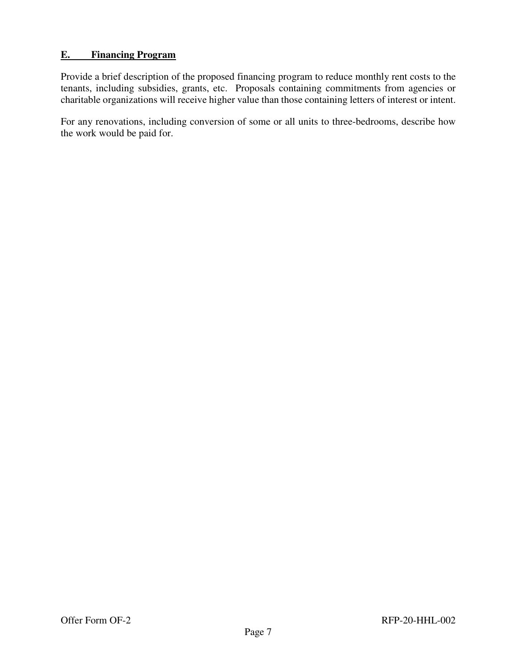#### **E. Financing Program**

Provide a brief description of the proposed financing program to reduce monthly rent costs to the tenants, including subsidies, grants, etc. Proposals containing commitments from agencies or charitable organizations will receive higher value than those containing letters of interest or intent.

For any renovations, including conversion of some or all units to three-bedrooms, describe how the work would be paid for.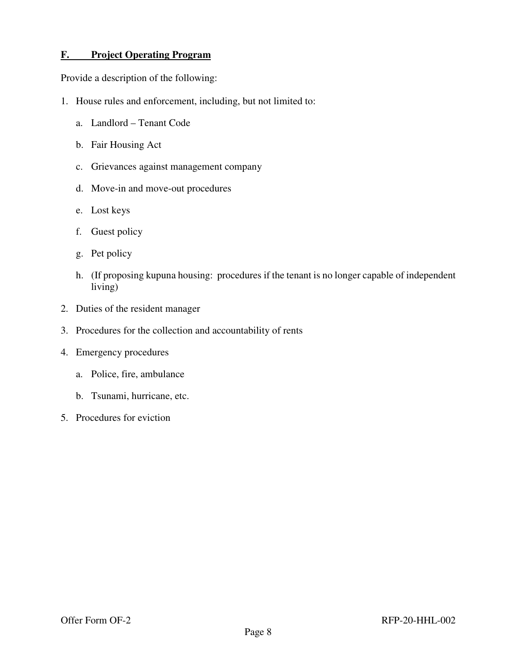#### **F. Project Operating Program**

Provide a description of the following:

- 1. House rules and enforcement, including, but not limited to:
	- a. Landlord Tenant Code
	- b. Fair Housing Act
	- c. Grievances against management company
	- d. Move-in and move-out procedures
	- e. Lost keys
	- f. Guest policy
	- g. Pet policy
	- h. (If proposing kupuna housing: procedures if the tenant is no longer capable of independent living)
- 2. Duties of the resident manager
- 3. Procedures for the collection and accountability of rents
- 4. Emergency procedures
	- a. Police, fire, ambulance
	- b. Tsunami, hurricane, etc.
- 5. Procedures for eviction